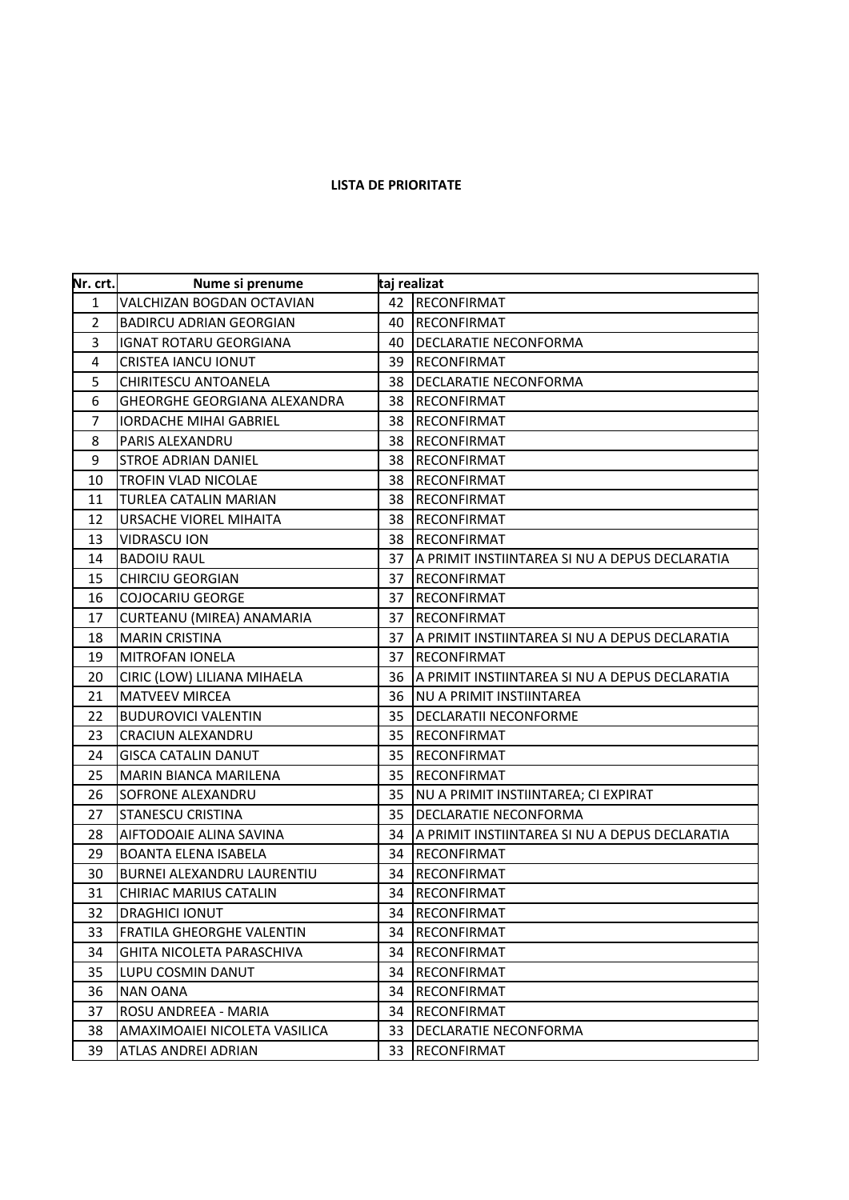## **LISTA DE PRIORITATE**

| Nr. crt.       | Nume si prenume                     | taj realizat |                                                |
|----------------|-------------------------------------|--------------|------------------------------------------------|
| $\mathbf{1}$   | <b>VALCHIZAN BOGDAN OCTAVIAN</b>    | 42           | RECONFIRMAT                                    |
| 2              | <b>BADIRCU ADRIAN GEORGIAN</b>      | 40           | <b>RECONFIRMAT</b>                             |
| 3              | <b>IGNAT ROTARU GEORGIANA</b>       | 40           | DECLARATIE NECONFORMA                          |
| 4              | CRISTEA IANCU IONUT                 | 39           | <b>RECONFIRMAT</b>                             |
| 5              | CHIRITESCU ANTOANELA                | 38           | DECLARATIE NECONFORMA                          |
| 6              | <b>GHEORGHE GEORGIANA ALEXANDRA</b> | 38           | <b>RECONFIRMAT</b>                             |
| $\overline{7}$ | <b>IORDACHE MIHAI GABRIEL</b>       | 38           | <b>RECONFIRMAT</b>                             |
| 8              | PARIS ALEXANDRU                     | 38           | <b>RECONFIRMAT</b>                             |
| 9              | <b>STROE ADRIAN DANIEL</b>          | 38           | <b>RECONFIRMAT</b>                             |
| 10             | TROFIN VLAD NICOLAE                 | 38           | <b>RECONFIRMAT</b>                             |
| 11             | TURLEA CATALIN MARIAN               | 38           | <b>RECONFIRMAT</b>                             |
| 12             | URSACHE VIOREL MIHAITA              | 38           | <b>RECONFIRMAT</b>                             |
| 13             | <b>VIDRASCU ION</b>                 | 38           | <b>RECONFIRMAT</b>                             |
| 14             | <b>BADOIU RAUL</b>                  | 37           | A PRIMIT INSTIINTAREA SI NU A DEPUS DECLARATIA |
| 15             | <b>CHIRCIU GEORGIAN</b>             | 37           | <b>RECONFIRMAT</b>                             |
| 16             | <b>COJOCARIU GEORGE</b>             | 37           | <b>RECONFIRMAT</b>                             |
| 17             | CURTEANU (MIREA) ANAMARIA           | 37           | <b>RECONFIRMAT</b>                             |
| 18             | <b>MARIN CRISTINA</b>               | 37           | A PRIMIT INSTIINTAREA SI NU A DEPUS DECLARATIA |
| 19             | <b>MITROFAN IONELA</b>              | 37           | <b>RECONFIRMAT</b>                             |
| 20             | CIRIC (LOW) LILIANA MIHAELA         | 36           | A PRIMIT INSTIINTAREA SI NU A DEPUS DECLARATIA |
| 21             | <b>MATVEEV MIRCEA</b>               | 36           | NU A PRIMIT INSTIINTAREA                       |
| 22             | <b>BUDUROVICI VALENTIN</b>          | 35           | <b>DECLARATII NECONFORME</b>                   |
| 23             | <b>CRACIUN ALEXANDRU</b>            | 35           | <b>RECONFIRMAT</b>                             |
| 24             | <b>GISCA CATALIN DANUT</b>          | 35           | <b>RECONFIRMAT</b>                             |
| 25             | MARIN BIANCA MARILENA               | 35           | <b>RECONFIRMAT</b>                             |
| 26             | SOFRONE ALEXANDRU                   | 35           | NU A PRIMIT INSTIINTAREA; CI EXPIRAT           |
| 27             | <b>STANESCU CRISTINA</b>            | 35           | <b>DECLARATIE NECONFORMA</b>                   |
| 28             | AIFTODOAIE ALINA SAVINA             | 34           | A PRIMIT INSTIINTAREA SI NU A DEPUS DECLARATIA |
| 29             | <b>BOANTA ELENA ISABELA</b>         | 34           | <b>RECONFIRMAT</b>                             |
| 30             | BURNEI ALEXANDRU LAURENTIU          | 34           | <b>RECONFIRMAT</b>                             |
| 31             | <b>CHIRIAC MARIUS CATALIN</b>       | 34           | <b>RECONFIRMAT</b>                             |
| 32             | <b>DRAGHICI IONUT</b>               | 34           | RECONFIRMAT                                    |
| 33             | FRATILA GHEORGHE VALENTIN           | 34           | <b>RECONFIRMAT</b>                             |
| 34             | GHITA NICOLETA PARASCHIVA           | 34           | <b>RECONFIRMAT</b>                             |
| 35             | LUPU COSMIN DANUT                   | 34           | <b>RECONFIRMAT</b>                             |
| 36             | <b>NAN OANA</b>                     | 34           | <b>RECONFIRMAT</b>                             |
| 37             | ROSU ANDREEA - MARIA                | 34           | <b>RECONFIRMAT</b>                             |
| 38             | AMAXIMOAIEI NICOLETA VASILICA       | 33           | DECLARATIE NECONFORMA                          |
| 39             | ATLAS ANDREI ADRIAN                 | 33           | <b>RECONFIRMAT</b>                             |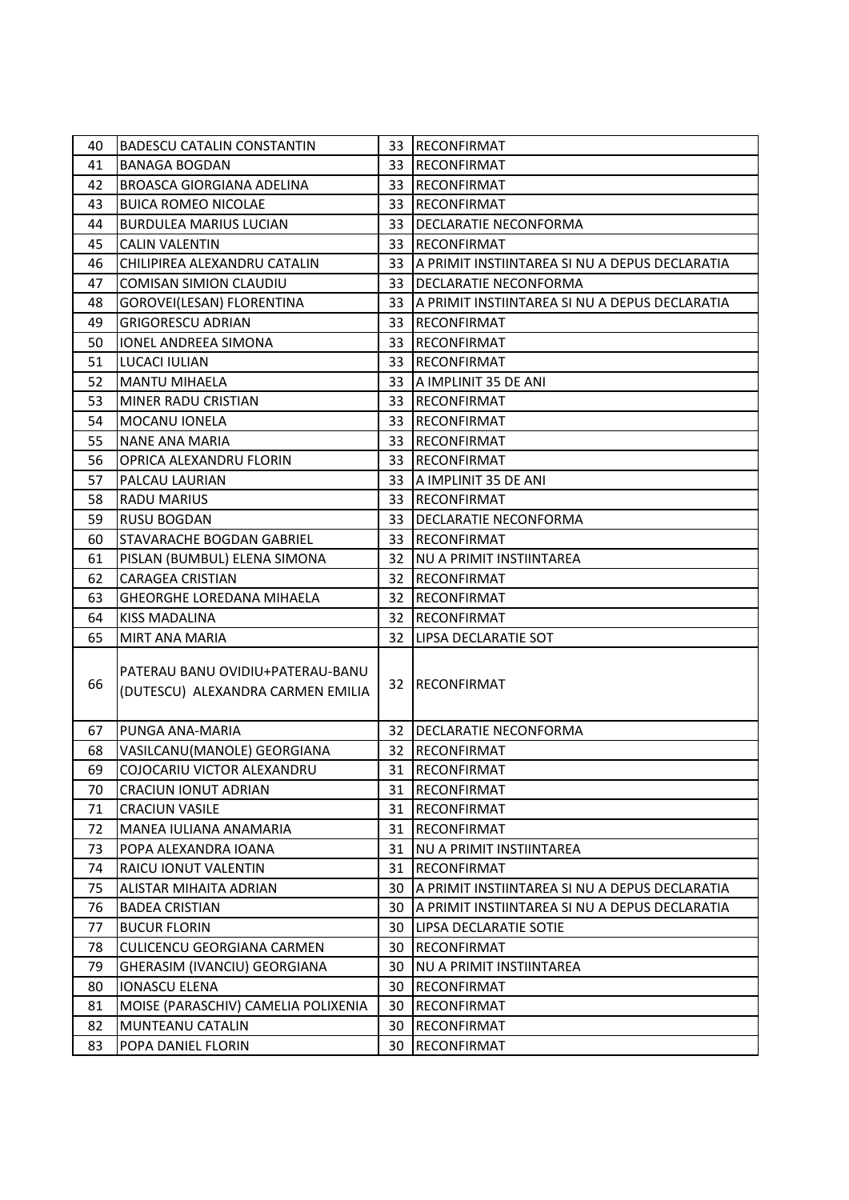| 40 | <b>BADESCU CATALIN CONSTANTIN</b>                                     |     | 33 RECONFIRMAT                                    |
|----|-----------------------------------------------------------------------|-----|---------------------------------------------------|
| 41 | <b>BANAGA BOGDAN</b>                                                  |     | 33 RECONFIRMAT                                    |
| 42 | <b>BROASCA GIORGIANA ADELINA</b>                                      | 33  | <b>RECONFIRMAT</b>                                |
| 43 | <b>BUICA ROMEO NICOLAE</b>                                            | 33. | <b>RECONFIRMAT</b>                                |
| 44 | <b>BURDULEA MARIUS LUCIAN</b>                                         | 33  | <b>DECLARATIE NECONFORMA</b>                      |
| 45 | <b>CALIN VALENTIN</b>                                                 | 33  | <b>RECONFIRMAT</b>                                |
| 46 | CHILIPIREA ALEXANDRU CATALIN                                          |     | 33 A PRIMIT INSTIINTAREA SI NU A DEPUS DECLARATIA |
| 47 | <b>COMISAN SIMION CLAUDIU</b>                                         | 33. | <b>DECLARATIE NECONFORMA</b>                      |
| 48 | GOROVEI(LESAN) FLORENTINA                                             |     | 33 A PRIMIT INSTIINTAREA SI NU A DEPUS DECLARATIA |
| 49 | <b>GRIGORESCU ADRIAN</b>                                              | 33. | <b>RECONFIRMAT</b>                                |
| 50 | IONEL ANDREEA SIMONA                                                  | 33. | <b>RECONFIRMAT</b>                                |
| 51 | LUCACI IULIAN                                                         |     | 33 RECONFIRMAT                                    |
| 52 | <b>MANTU MIHAELA</b>                                                  | 33  | A IMPLINIT 35 DE ANI                              |
| 53 | MINER RADU CRISTIAN                                                   | 33. | <b>RECONFIRMAT</b>                                |
| 54 | MOCANU IONELA                                                         |     | 33 RECONFIRMAT                                    |
| 55 | <b>NANE ANA MARIA</b>                                                 | 33  | <b>RECONFIRMAT</b>                                |
| 56 | OPRICA ALEXANDRU FLORIN                                               | 33  | <b>RECONFIRMAT</b>                                |
| 57 | PALCAU LAURIAN                                                        | 33. | A IMPLINIT 35 DE ANI                              |
| 58 | RADU MARIUS                                                           |     | 33 RECONFIRMAT                                    |
| 59 | RUSU BOGDAN                                                           | 33. | <b>DECLARATIE NECONFORMA</b>                      |
| 60 | STAVARACHE BOGDAN GABRIEL                                             | 33  | <b>RECONFIRMAT</b>                                |
| 61 | PISLAN (BUMBUL) ELENA SIMONA                                          |     | 32 NU A PRIMIT INSTIINTAREA                       |
| 62 | <b>CARAGEA CRISTIAN</b>                                               | 32  | <b>RECONFIRMAT</b>                                |
| 63 | <b>GHEORGHE LOREDANA MIHAELA</b>                                      | 32. | <b>RECONFIRMAT</b>                                |
| 64 | <b>KISS MADALINA</b>                                                  |     | 32 RECONFIRMAT                                    |
| 65 | MIRT ANA MARIA                                                        | 32  | LIPSA DECLARATIE SOT                              |
| 66 | PATERAU BANU OVIDIU+PATERAU-BANU<br>(DUTESCU) ALEXANDRA CARMEN EMILIA |     | 32 RECONFIRMAT                                    |
| 67 | PUNGA ANA-MARIA                                                       |     | 32   DECLARATIE NECONFORMA                        |
| 68 | VASILCANU(MANOLE) GEORGIANA                                           | 32. | RECONFIRMAT                                       |
| 69 | COJOCARIU VICTOR ALEXANDRU                                            |     | 31 RECONFIRMAT                                    |
| 70 | CRACIUN IONUT ADRIAN                                                  |     | 31 RECONFIRMAT                                    |
| 71 | <b>CRACIUN VASILE</b>                                                 | 31  | <b>RECONFIRMAT</b>                                |
| 72 | MANEA IULIANA ANAMARIA                                                | 31  | RECONFIRMAT                                       |
| 73 | POPA ALEXANDRA IOANA                                                  | 31  | <b>NU A PRIMIT INSTIINTAREA</b>                   |
| 74 | RAICU IONUT VALENTIN                                                  | 31  | <b>RECONFIRMAT</b>                                |
| 75 | ALISTAR MIHAITA ADRIAN                                                | 30  | A PRIMIT INSTIINTAREA SI NU A DEPUS DECLARATIA    |
| 76 | <b>BADEA CRISTIAN</b>                                                 | 30  | A PRIMIT INSTIINTAREA SI NU A DEPUS DECLARATIA    |
| 77 | <b>BUCUR FLORIN</b>                                                   | 30  | LIPSA DECLARATIE SOTIE                            |
| 78 | <b>CULICENCU GEORGIANA CARMEN</b>                                     | 30. | <b>RECONFIRMAT</b>                                |
| 79 | GHERASIM (IVANCIU) GEORGIANA                                          | 30  | <b>NU A PRIMIT INSTIINTAREA</b>                   |
| 80 | <b>IONASCU ELENA</b>                                                  | 30  | RECONFIRMAT                                       |
| 81 | MOISE (PARASCHIV) CAMELIA POLIXENIA                                   | 30  | <b>RECONFIRMAT</b>                                |
| 82 | <b>MUNTEANU CATALIN</b>                                               | 30  | <b>RECONFIRMAT</b>                                |
| 83 | POPA DANIEL FLORIN                                                    | 30  | <b>RECONFIRMAT</b>                                |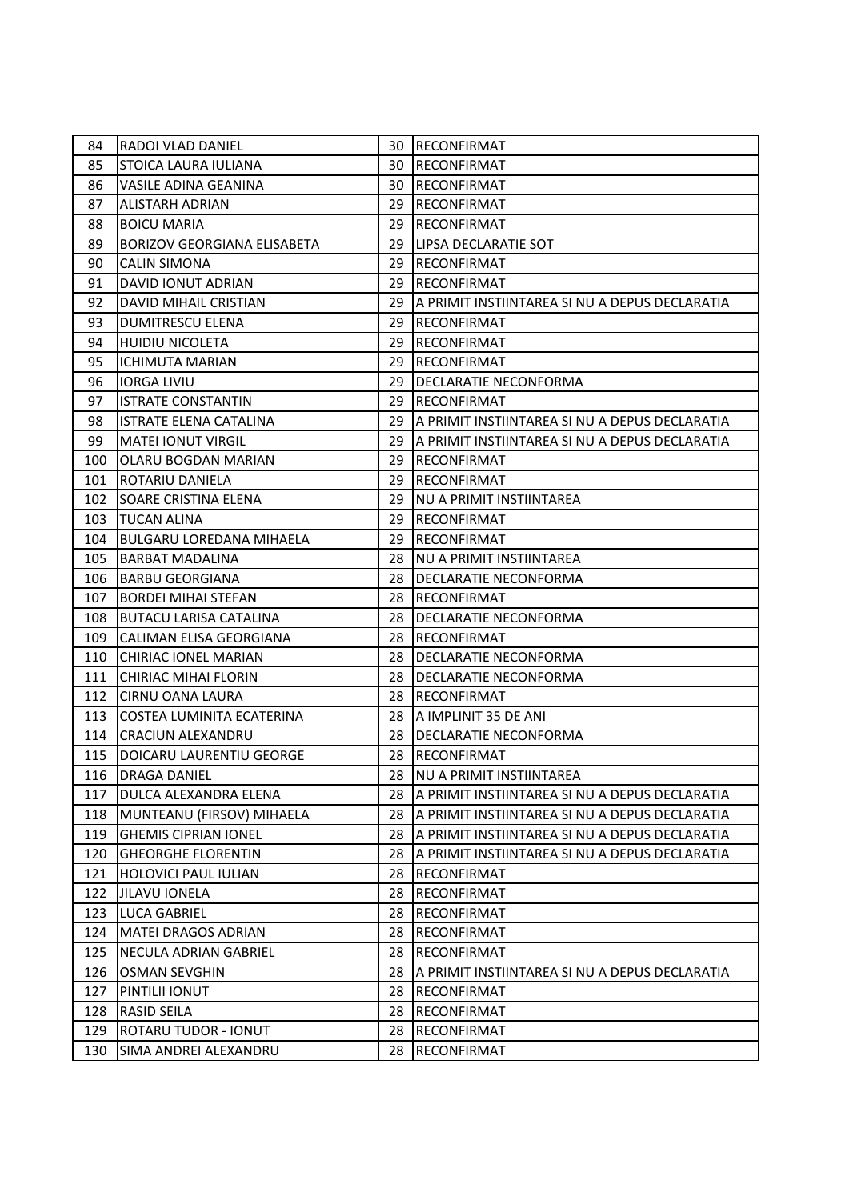| 84  | RADOI VLAD DANIEL                  | 30  | RECONFIRMAT                                     |
|-----|------------------------------------|-----|-------------------------------------------------|
| 85  | STOICA LAURA IULIANA               | 30  | RECONFIRMAT                                     |
| 86  | VASILE ADINA GEANINA               | 30  | RECONFIRMAT                                     |
| 87  | <b>ALISTARH ADRIAN</b>             | 29  | <b>RECONFIRMAT</b>                              |
| 88  | <b>BOICU MARIA</b>                 | 29. | <b>RECONFIRMAT</b>                              |
| 89  | <b>BORIZOV GEORGIANA ELISABETA</b> | 29  | LIPSA DECLARATIE SOT                            |
| 90  | <b>CALIN SIMONA</b>                | 29  | <b>RECONFIRMAT</b>                              |
| 91  | <b>DAVID IONUT ADRIAN</b>          | 29  | <b>RECONFIRMAT</b>                              |
| 92  | DAVID MIHAIL CRISTIAN              | 29. | A PRIMIT INSTIINTAREA SI NU A DEPUS DECLARATIA  |
| 93  | <b>DUMITRESCU ELENA</b>            | 29  | <b>RECONFIRMAT</b>                              |
| 94  | <b>HUIDIU NICOLETA</b>             | 29  | <b>RECONFIRMAT</b>                              |
| 95  | <b>ICHIMUTA MARIAN</b>             | 29  | <b>RECONFIRMAT</b>                              |
| 96  | <b>IORGA LIVIU</b>                 | 29  | DECLARATIE NECONFORMA                           |
| 97  | <b>ISTRATE CONSTANTIN</b>          | 29  | <b>RECONFIRMAT</b>                              |
| 98  | ISTRATE ELENA CATALINA             | 29. | A PRIMIT INSTIINTAREA SI NU A DEPUS DECLARATIA  |
| 99  | <b>MATEI IONUT VIRGIL</b>          | 29. | A PRIMIT INSTIINTAREA SI NU A DEPUS DECLARATIA  |
| 100 | OLARU BOGDAN MARIAN                | 29  | <b>RECONFIRMAT</b>                              |
| 101 | ROTARIU DANIELA                    | 29  | <b>RECONFIRMAT</b>                              |
| 102 | <b>SOARE CRISTINA ELENA</b>        | 29. | NU A PRIMIT INSTIINTAREA                        |
| 103 | TUCAN ALINA                        | 29. | <b>RECONFIRMAT</b>                              |
| 104 | <b>BULGARU LOREDANA MIHAELA</b>    | 29  | <b>RECONFIRMAT</b>                              |
| 105 | <b>BARBAT MADALINA</b>             | 28  | NU A PRIMIT INSTIINTAREA                        |
| 106 | <b>BARBU GEORGIANA</b>             | 28  | DECLARATIE NECONFORMA                           |
| 107 | <b>BORDEI MIHAI STEFAN</b>         | 28  | <b>RECONFIRMAT</b>                              |
| 108 | <b>BUTACU LARISA CATALINA</b>      | 28  | DECLARATIE NECONFORMA                           |
| 109 | CALIMAN ELISA GEORGIANA            | 28  | <b>RECONFIRMAT</b>                              |
| 110 | <b>CHIRIAC IONEL MARIAN</b>        | 28  | DECLARATIE NECONFORMA                           |
| 111 | <b>CHIRIAC MIHAI FLORIN</b>        | 28. | DECLARATIE NECONFORMA                           |
| 112 | CIRNU OANA LAURA                   | 28  | <b>RECONFIRMAT</b>                              |
| 113 | COSTEA LUMINITA ECATERINA          | 28  | IA IMPLINIT 35 DE ANI                           |
| 114 | <b>CRACIUN ALEXANDRU</b>           | 28  | DECLARATIE NECONFORMA                           |
| 115 | DOICARU LAURENTIU GEORGE           |     | 28 RECONFIRMAT                                  |
| 116 | <b>DRAGA DANIEL</b>                |     | 28 NU A PRIMIT INSTIINTAREA                     |
| 117 | DULCA ALEXANDRA ELENA              | 28  | JA PRIMIT INSTIINTAREA SI NU A DEPUS DECLARATIA |
| 118 | MUNTEANU (FIRSOV) MIHAELA          | 28. | IA PRIMIT INSTIINTAREA SI NU A DEPUS DECLARATIA |
| 119 | <b>GHEMIS CIPRIAN IONEL</b>        | 28  | A PRIMIT INSTIINTAREA SI NU A DEPUS DECLARATIA  |
| 120 | <b>GHEORGHE FLORENTIN</b>          | 28  | JA PRIMIT INSTIINTAREA SI NU A DEPUS DECLARATIA |
| 121 | <b>HOLOVICI PAUL IULIAN</b>        | 28  | RECONFIRMAT                                     |
| 122 | <b>JILAVU IONELA</b>               | 28  | <b>RECONFIRMAT</b>                              |
| 123 | <b>LUCA GABRIEL</b>                | 28  | <b>RECONFIRMAT</b>                              |
| 124 | <b>MATEI DRAGOS ADRIAN</b>         | 28  | <b>RECONFIRMAT</b>                              |
| 125 | <b>NECULA ADRIAN GABRIEL</b>       | 28  | <b>RECONFIRMAT</b>                              |
| 126 | <b>OSMAN SEVGHIN</b>               | 28  | IA PRIMIT INSTIINTAREA SI NU A DEPUS DECLARATIA |
| 127 | PINTILII IONUT                     | 28  | RECONFIRMAT                                     |
| 128 | <b>RASID SEILA</b>                 | 28  | <b>RECONFIRMAT</b>                              |
| 129 | ROTARU TUDOR - IONUT               | 28  | <b>RECONFIRMAT</b>                              |
| 130 | SIMA ANDREI ALEXANDRU              | 28  | <b>RECONFIRMAT</b>                              |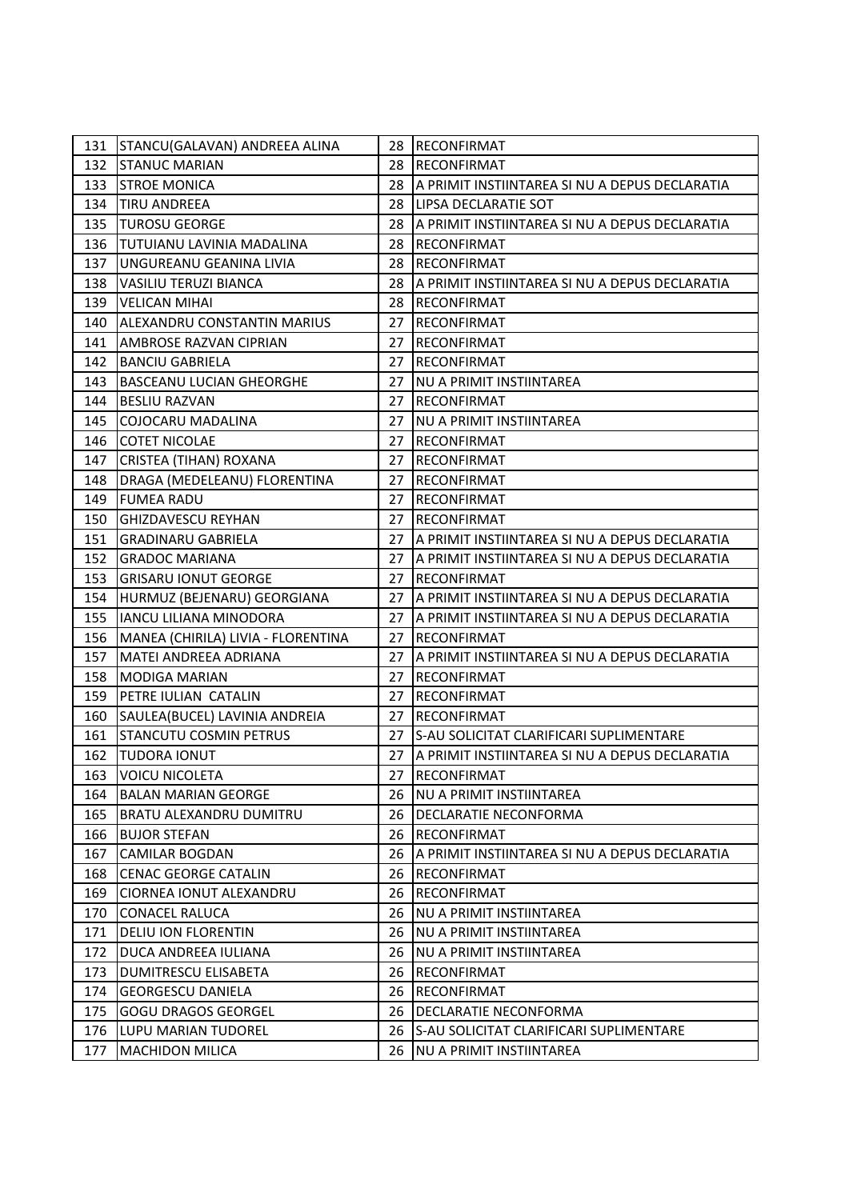| 131 | STANCU(GALAVAN) ANDREEA ALINA      | 28  | <b>RECONFIRMAT</b>                             |
|-----|------------------------------------|-----|------------------------------------------------|
| 132 | <b>STANUC MARIAN</b>               | 28  | <b>RECONFIRMAT</b>                             |
| 133 | <b>STROE MONICA</b>                | 28  | A PRIMIT INSTIINTAREA SI NU A DEPUS DECLARATIA |
| 134 | <b>TIRU ANDREEA</b>                | 28  | LIPSA DECLARATIE SOT                           |
| 135 | <b>TUROSU GEORGE</b>               | 28  | A PRIMIT INSTIINTAREA SI NU A DEPUS DECLARATIA |
| 136 | TUTUIANU LAVINIA MADALINA          | 28  | <b>RECONFIRMAT</b>                             |
| 137 | UNGUREANU GEANINA LIVIA            | 28  | <b>RECONFIRMAT</b>                             |
| 138 | <b>VASILIU TERUZI BIANCA</b>       | 28  | A PRIMIT INSTIINTAREA SI NU A DEPUS DECLARATIA |
| 139 | <b>VELICAN MIHAI</b>               | 28  | <b>RECONFIRMAT</b>                             |
| 140 | ALEXANDRU CONSTANTIN MARIUS        | 27  | <b>RECONFIRMAT</b>                             |
| 141 | AMBROSE RAZVAN CIPRIAN             | 27  | <b>RECONFIRMAT</b>                             |
| 142 | <b>BANCIU GABRIELA</b>             | 27  | <b>RECONFIRMAT</b>                             |
| 143 | <b>BASCEANU LUCIAN GHEORGHE</b>    | 27  | NU A PRIMIT INSTIINTAREA                       |
| 144 | <b>BESLIU RAZVAN</b>               | 27  | <b>RECONFIRMAT</b>                             |
| 145 | COJOCARU MADALINA                  | 27  | <b>NU A PRIMIT INSTIINTAREA</b>                |
| 146 | <b>COTET NICOLAE</b>               | 27  | <b>RECONFIRMAT</b>                             |
| 147 | <b>CRISTEA (TIHAN) ROXANA</b>      | 27  | <b>RECONFIRMAT</b>                             |
| 148 | DRAGA (MEDELEANU) FLORENTINA       | 27  | <b>RECONFIRMAT</b>                             |
| 149 | <b>FUMEA RADU</b>                  | 27  | <b>RECONFIRMAT</b>                             |
| 150 | <b>GHIZDAVESCU REYHAN</b>          | 27  | <b>RECONFIRMAT</b>                             |
| 151 | <b>GRADINARU GABRIELA</b>          | 27  | A PRIMIT INSTIINTAREA SI NU A DEPUS DECLARATIA |
| 152 | <b>GRADOC MARIANA</b>              | 27  | A PRIMIT INSTIINTAREA SI NU A DEPUS DECLARATIA |
| 153 | <b>GRISARU IONUT GEORGE</b>        | 27  | <b>RECONFIRMAT</b>                             |
| 154 | HURMUZ (BEJENARU) GEORGIANA        | 27  | A PRIMIT INSTIINTAREA SI NU A DEPUS DECLARATIA |
| 155 | <b>IANCU LILIANA MINODORA</b>      | 27  | A PRIMIT INSTIINTAREA SI NU A DEPUS DECLARATIA |
| 156 | MANEA (CHIRILA) LIVIA - FLORENTINA | 27  | <b>RECONFIRMAT</b>                             |
| 157 | MATEI ANDREEA ADRIANA              | 27  | A PRIMIT INSTIINTAREA SI NU A DEPUS DECLARATIA |
| 158 | <b>MODIGA MARIAN</b>               | 27  | <b>RECONFIRMAT</b>                             |
| 159 | PETRE IULIAN CATALIN               | 27  | <b>RECONFIRMAT</b>                             |
| 160 | SAULEA(BUCEL) LAVINIA ANDREIA      | 27  | <b>RECONFIRMAT</b>                             |
| 161 | STANCUTU COSMIN PETRUS             | 27  | S-AU SOLICITAT CLARIFICARI SUPLIMENTARE        |
| 162 | <b>TUDORA IONUT</b>                | 27  | A PRIMIT INSTIINTAREA SI NU A DEPUS DECLARATIA |
| 163 | <b>VOICU NICOLETA</b>              | 27  | RECONFIRMAT                                    |
| 164 | <b>BALAN MARIAN GEORGE</b>         | 26  | INU A PRIMIT INSTIINTAREA                      |
| 165 | BRATU ALEXANDRU DUMITRU            | 26. | DECLARATIE NECONFORMA                          |
| 166 | <b>BUJOR STEFAN</b>                | 26  | RECONFIRMAT                                    |
| 167 | <b>CAMILAR BOGDAN</b>              | 26  | A PRIMIT INSTIINTAREA SI NU A DEPUS DECLARATIA |
| 168 | <b>CENAC GEORGE CATALIN</b>        | 26  | IRECONFIRMAT                                   |
| 169 | <b>CIORNEA IONUT ALEXANDRU</b>     | 26  | <b>RECONFIRMAT</b>                             |
| 170 | <b>CONACEL RALUCA</b>              | 26  | INU A PRIMIT INSTIINTAREA                      |
| 171 | <b>DELIU ION FLORENTIN</b>         | 26  | <b>NU A PRIMIT INSTIINTAREA</b>                |
| 172 | DUCA ANDREEA IULIANA               | 26  | <b>NU A PRIMIT INSTIINTAREA</b>                |
| 173 | DUMITRESCU ELISABETA               | 26  | <b>RECONFIRMAT</b>                             |
| 174 | <b>GEORGESCU DANIELA</b>           | 26  | <b>RECONFIRMAT</b>                             |
| 175 | <b>GOGU DRAGOS GEORGEL</b>         | 26  | DECLARATIE NECONFORMA                          |
| 176 | <b>LUPU MARIAN TUDOREL</b>         | 26  | lS-AU SOLICITAT CLARIFICARI SUPLIMENTARE       |
| 177 | <b>MACHIDON MILICA</b>             | 26  | <b>NU A PRIMIT INSTIINTAREA</b>                |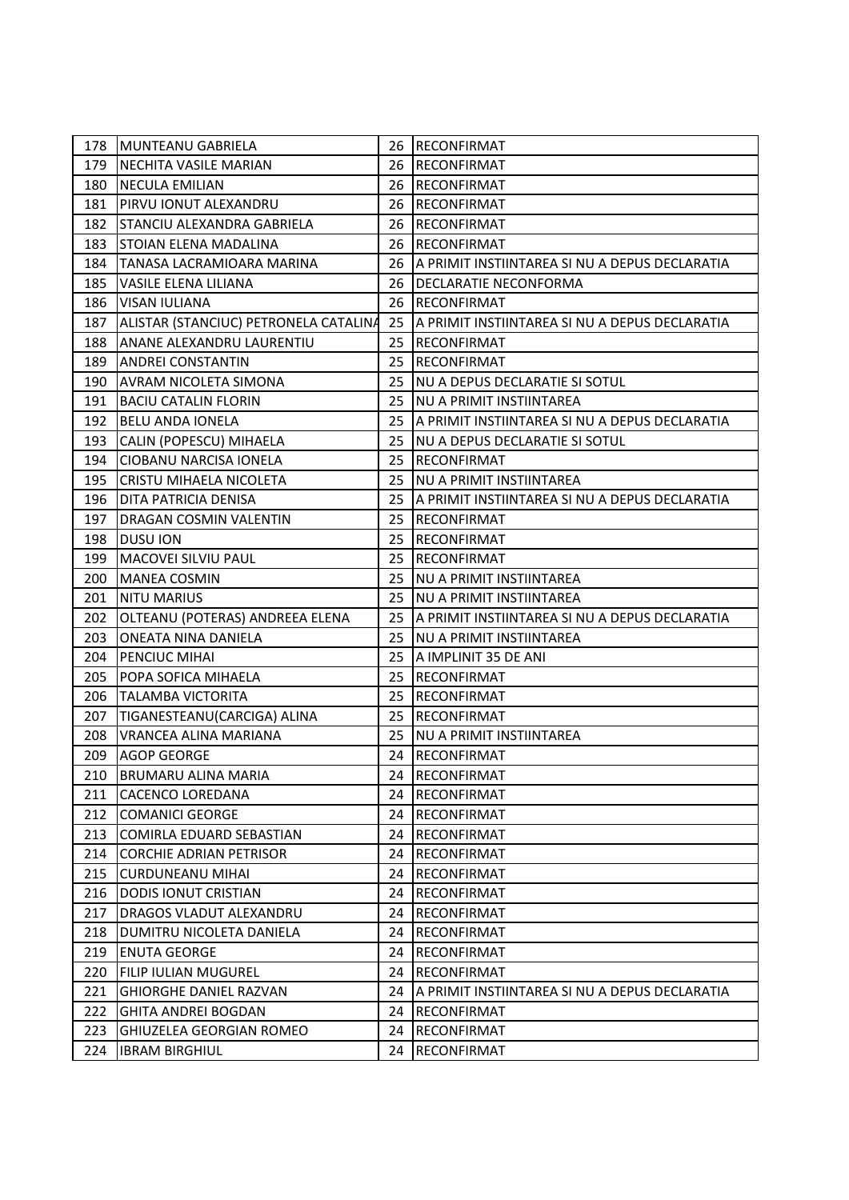| 178 | <b>IMUNTEANU GABRIELA</b>             |    | 26 RECONFIRMAT                                 |
|-----|---------------------------------------|----|------------------------------------------------|
| 179 | <b>NECHITA VASILE MARIAN</b>          | 26 | RECONFIRMAT                                    |
| 180 | NECULA EMILIAN                        | 26 | <b>RECONFIRMAT</b>                             |
| 181 | PIRVU IONUT ALEXANDRU                 | 26 | <b>RECONFIRMAT</b>                             |
| 182 | STANCIU ALEXANDRA GABRIELA            | 26 | RECONFIRMAT                                    |
| 183 | STOIAN ELENA MADALINA                 | 26 | <b>RECONFIRMAT</b>                             |
| 184 | TANASA LACRAMIOARA MARINA             | 26 | A PRIMIT INSTIINTAREA SI NU A DEPUS DECLARATIA |
| 185 | <b>VASILE ELENA LILIANA</b>           | 26 | <b>DECLARATIE NECONFORMA</b>                   |
| 186 | <b>VISAN IULIANA</b>                  | 26 | <b>RECONFIRMAT</b>                             |
| 187 | ALISTAR (STANCIUC) PETRONELA CATALINA | 25 | A PRIMIT INSTIINTAREA SI NU A DEPUS DECLARATIA |
| 188 | ANANE ALEXANDRU LAURENTIU             | 25 | <b>RECONFIRMAT</b>                             |
| 189 | <b>ANDREI CONSTANTIN</b>              | 25 | <b>RECONFIRMAT</b>                             |
| 190 | <b>AVRAM NICOLETA SIMONA</b>          | 25 | NU A DEPUS DECLARATIE SI SOTUL                 |
| 191 | <b>BACIU CATALIN FLORIN</b>           | 25 | NU A PRIMIT INSTIINTAREA                       |
| 192 | <b>BELU ANDA IONELA</b>               | 25 | A PRIMIT INSTIINTAREA SI NU A DEPUS DECLARATIA |
| 193 | CALIN (POPESCU) MIHAELA               | 25 | NU A DEPUS DECLARATIE SI SOTUL                 |
| 194 | CIOBANU NARCISA IONELA                | 25 | <b>RECONFIRMAT</b>                             |
| 195 | CRISTU MIHAELA NICOLETA               | 25 | NU A PRIMIT INSTIINTAREA                       |
| 196 | DITA PATRICIA DENISA                  | 25 | A PRIMIT INSTIINTAREA SI NU A DEPUS DECLARATIA |
| 197 | DRAGAN COSMIN VALENTIN                | 25 | RECONFIRMAT                                    |
| 198 | <b>DUSU ION</b>                       | 25 | <b>RECONFIRMAT</b>                             |
| 199 | MACOVEI SILVIU PAUL                   | 25 | <b>RECONFIRMAT</b>                             |
| 200 | MANEA COSMIN                          | 25 | NU A PRIMIT INSTIINTAREA                       |
| 201 | <b>NITU MARIUS</b>                    | 25 | <b>NU A PRIMIT INSTIINTAREA</b>                |
| 202 | OLTEANU (POTERAS) ANDREEA ELENA       | 25 | A PRIMIT INSTIINTAREA SI NU A DEPUS DECLARATIA |
| 203 | ONEATA NINA DANIELA                   | 25 | NU A PRIMIT INSTIINTAREA                       |
| 204 | PENCIUC MIHAI                         | 25 | A IMPLINIT 35 DE ANI                           |
| 205 | POPA SOFICA MIHAELA                   | 25 | <b>RECONFIRMAT</b>                             |
| 206 | <b>TALAMBA VICTORITA</b>              | 25 | RECONFIRMAT                                    |
| 207 | TIGANESTEANU(CARCIGA) ALINA           | 25 | <b>RECONFIRMAT</b>                             |
| 208 | VRANCEA ALINA MARIANA                 | 25 | <b>NU A PRIMIT INSTIINTAREA</b>                |
| 209 | <b>AGOP GEORGE</b>                    | 24 | <b>RECONFIRMAT</b>                             |
| 210 | <b>BRUMARU ALINA MARIA</b>            |    | 24 RECONFIRMAT                                 |
| 211 | CACENCO LOREDANA                      | 24 | RECONFIRMAT                                    |
| 212 | <b>COMANICI GEORGE</b>                | 24 | RECONFIRMAT                                    |
| 213 | COMIRLA EDUARD SEBASTIAN              | 24 | <b>RECONFIRMAT</b>                             |
| 214 | <b>CORCHIE ADRIAN PETRISOR</b>        | 24 | <b>RECONFIRMAT</b>                             |
| 215 | <b>CURDUNEANU MIHAI</b>               | 24 | RECONFIRMAT                                    |
| 216 | <b>DODIS IONUT CRISTIAN</b>           | 24 | <b>RECONFIRMAT</b>                             |
| 217 | DRAGOS VLADUT ALEXANDRU               | 24 | <b>RECONFIRMAT</b>                             |
| 218 | DUMITRU NICOLETA DANIELA              | 24 | <b>RECONFIRMAT</b>                             |
| 219 | <b>ENUTA GEORGE</b>                   | 24 | <b>RECONFIRMAT</b>                             |
| 220 | FILIP IULIAN MUGUREL                  | 24 | <b>RECONFIRMAT</b>                             |
| 221 | <b>GHIORGHE DANIEL RAZVAN</b>         | 24 | A PRIMIT INSTIINTAREA SI NU A DEPUS DECLARATIA |
| 222 | <b>GHITA ANDREI BOGDAN</b>            | 24 | RECONFIRMAT                                    |
| 223 | <b>GHIUZELEA GEORGIAN ROMEO</b>       | 24 | <b>RECONFIRMAT</b>                             |
| 224 | <b>IBRAM BIRGHIUL</b>                 | 24 | <b>RECONFIRMAT</b>                             |